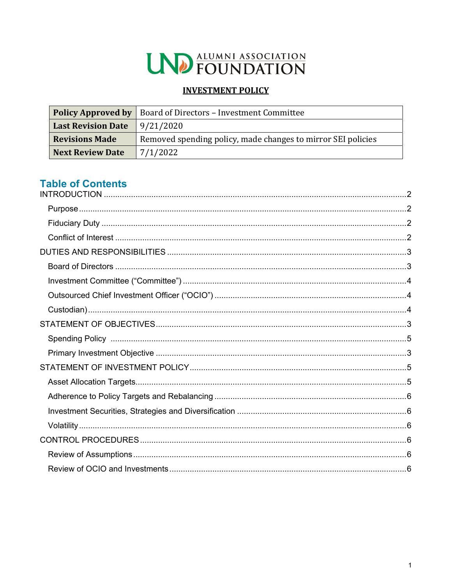

# **INVESTMENT POLICY**

|                                                                                       | <b>Policy Approved by</b>   Board of Directors – Investment Committee |  |
|---------------------------------------------------------------------------------------|-----------------------------------------------------------------------|--|
| <b>Last Revision Date</b>                                                             | 9/21/2020                                                             |  |
| <b>Revisions Made</b><br>Removed spending policy, made changes to mirror SEI policies |                                                                       |  |
| <b>Next Review Date</b>                                                               | 7/1/2022                                                              |  |

# **Table of Contents**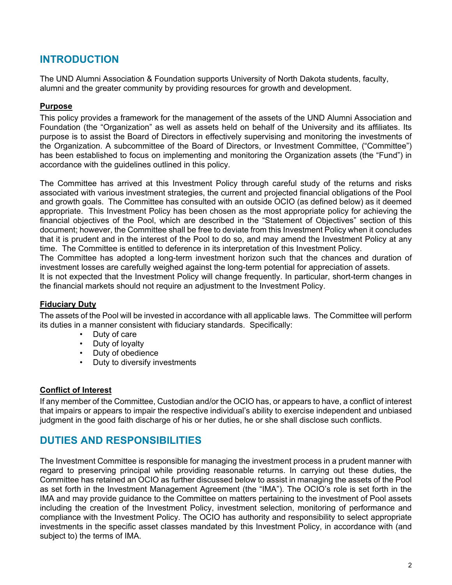# **INTRODUCTION**

The UND Alumni Association & Foundation supports University of North Dakota students, faculty, alumni and the greater community by providing resources for growth and development.

### **Purpose**

This policy provides a framework for the management of the assets of the UND Alumni Association and Foundation (the "Organization" as well as assets held on behalf of the University and its affiliates. Its purpose is to assist the Board of Directors in effectively supervising and monitoring the investments of the Organization. A subcommittee of the Board of Directors, or Investment Committee, ("Committee") has been established to focus on implementing and monitoring the Organization assets (the "Fund") in accordance with the guidelines outlined in this policy.

The Committee has arrived at this Investment Policy through careful study of the returns and risks associated with various investment strategies, the current and projected financial obligations of the Pool and growth goals. The Committee has consulted with an outside OCIO (as defined below) as it deemed appropriate. This Investment Policy has been chosen as the most appropriate policy for achieving the financial objectives of the Pool, which are described in the "Statement of Objectives" section of this document; however, the Committee shall be free to deviate from this Investment Policy when it concludes that it is prudent and in the interest of the Pool to do so, and may amend the Investment Policy at any time. The Committee is entitled to deference in its interpretation of this Investment Policy.

The Committee has adopted a long-term investment horizon such that the chances and duration of investment losses are carefully weighed against the long-term potential for appreciation of assets.

It is not expected that the Investment Policy will change frequently. In particular, short-term changes in the financial markets should not require an adjustment to the Investment Policy.

# **Fiduciary Duty**

The assets of the Pool will be invested in accordance with all applicable laws. The Committee will perform its duties in a manner consistent with fiduciary standards. Specifically:

- Duty of care
- Duty of loyalty
- Duty of obedience
- Duty to diversify investments

#### **Conflict of Interest**

If any member of the Committee, Custodian and/or the OCIO has, or appears to have, a conflict of interest that impairs or appears to impair the respective individual's ability to exercise independent and unbiased judgment in the good faith discharge of his or her duties, he or she shall disclose such conflicts.

# **DUTIES AND RESPONSIBILITIES**

The Investment Committee is responsible for managing the investment process in a prudent manner with regard to preserving principal while providing reasonable returns. In carrying out these duties, the Committee has retained an OCIO as further discussed below to assist in managing the assets of the Pool as set forth in the Investment Management Agreement (the "IMA"). The OCIO's role is set forth in the IMA and may provide guidance to the Committee on matters pertaining to the investment of Pool assets including the creation of the Investment Policy, investment selection, monitoring of performance and compliance with the Investment Policy. The OCIO has authority and responsibility to select appropriate investments in the specific asset classes mandated by this Investment Policy, in accordance with (and subject to) the terms of IMA.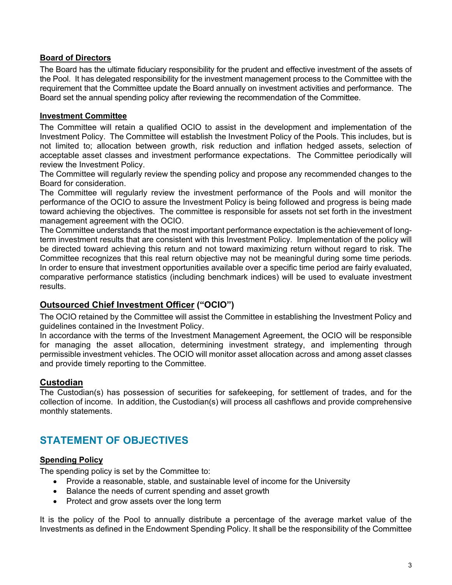### **Board of Directors**

The Board has the ultimate fiduciary responsibility for the prudent and effective investment of the assets of the Pool. It has delegated responsibility for the investment management process to the Committee with the requirement that the Committee update the Board annually on investment activities and performance. The Board set the annual spending policy after reviewing the recommendation of the Committee.

#### **Investment Committee**

The Committee will retain a qualified OCIO to assist in the development and implementation of the Investment Policy. The Committee will establish the Investment Policy of the Pools. This includes, but is not limited to; allocation between growth, risk reduction and inflation hedged assets, selection of acceptable asset classes and investment performance expectations. The Committee periodically will review the Investment Policy.

The Committee will regularly review the spending policy and propose any recommended changes to the Board for consideration.

The Committee will regularly review the investment performance of the Pools and will monitor the performance of the OCIO to assure the Investment Policy is being followed and progress is being made toward achieving the objectives. The committee is responsible for assets not set forth in the investment management agreement with the OCIO.

The Committee understands that the most important performance expectation is the achievement of longterm investment results that are consistent with this Investment Policy. Implementation of the policy will be directed toward achieving this return and not toward maximizing return without regard to risk. The Committee recognizes that this real return objective may not be meaningful during some time periods. In order to ensure that investment opportunities available over a specific time period are fairly evaluated, comparative performance statistics (including benchmark indices) will be used to evaluate investment results.

# **Outsourced Chief Investment Officer ("OCIO")**

The OCIO retained by the Committee will assist the Committee in establishing the Investment Policy and guidelines contained in the Investment Policy.

In accordance with the terms of the Investment Management Agreement, the OCIO will be responsible for managing the asset allocation, determining investment strategy, and implementing through permissible investment vehicles. The OCIO will monitor asset allocation across and among asset classes and provide timely reporting to the Committee.

#### **Custodian**

The Custodian(s) has possession of securities for safekeeping, for settlement of trades, and for the collection of income. In addition, the Custodian(s) will process all cashflows and provide comprehensive monthly statements.

# **STATEMENT OF OBJECTIVES**

### **Spending Policy**

The spending policy is set by the Committee to:

- Provide a reasonable, stable, and sustainable level of income for the University
- Balance the needs of current spending and asset growth
- Protect and grow assets over the long term

It is the policy of the Pool to annually distribute a percentage of the average market value of the Investments as defined in the Endowment Spending Policy. It shall be the responsibility of the Committee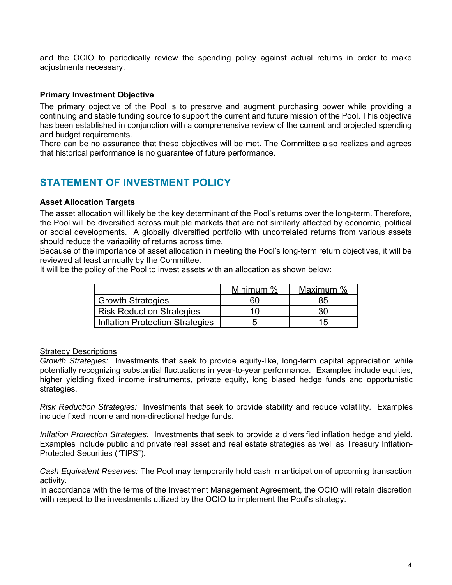and the OCIO to periodically review the spending policy against actual returns in order to make adjustments necessary.

### **Primary Investment Objective**

The primary objective of the Pool is to preserve and augment purchasing power while providing a continuing and stable funding source to support the current and future mission of the Pool. This objective has been established in conjunction with a comprehensive review of the current and projected spending and budget requirements.

There can be no assurance that these objectives will be met. The Committee also realizes and agrees that historical performance is no guarantee of future performance.

# **STATEMENT OF INVESTMENT POLICY**

#### **Asset Allocation Targets**

The asset allocation will likely be the key determinant of the Pool's returns over the long-term. Therefore, the Pool will be diversified across multiple markets that are not similarly affected by economic, political or social developments. A globally diversified portfolio with uncorrelated returns from various assets should reduce the variability of returns across time.

Because of the importance of asset allocation in meeting the Pool's long-term return objectives, it will be reviewed at least annually by the Committee.

It will be the policy of the Pool to invest assets with an allocation as shown below:

|                                        | Minimum % | Maximum % |
|----------------------------------------|-----------|-----------|
| <b>Growth Strategies</b>               | 50        | 85        |
| <b>Risk Reduction Strategies</b>       |           | 30        |
| <b>Inflation Protection Strategies</b> |           | 15        |

#### Strategy Descriptions

*Growth Strategies:* Investments that seek to provide equity-like, long-term capital appreciation while potentially recognizing substantial fluctuations in year-to-year performance. Examples include equities, higher yielding fixed income instruments, private equity, long biased hedge funds and opportunistic strategies.

*Risk Reduction Strategies:* Investments that seek to provide stability and reduce volatility. Examples include fixed income and non-directional hedge funds.

*Inflation Protection Strategies:* Investments that seek to provide a diversified inflation hedge and yield. Examples include public and private real asset and real estate strategies as well as Treasury Inflation-Protected Securities ("TIPS").

*Cash Equivalent Reserves:* The Pool may temporarily hold cash in anticipation of upcoming transaction activity.

In accordance with the terms of the Investment Management Agreement, the OCIO will retain discretion with respect to the investments utilized by the OCIO to implement the Pool's strategy.